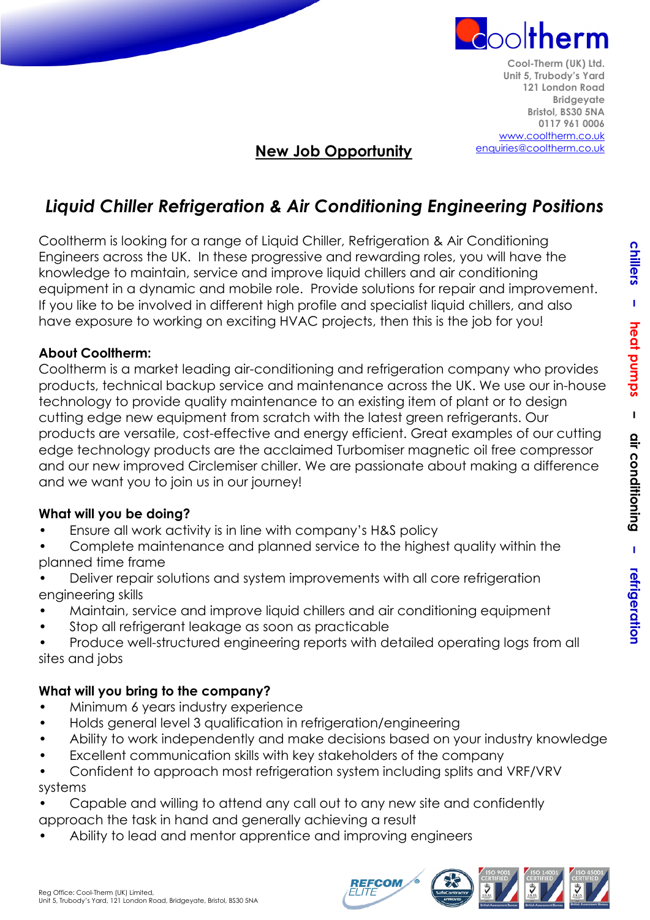

 $\circ$  the **Cool-Therm (UK) Ltd. Unit 5, Trubody's Yard 121 London Road Bridgeyate Bristol, BS30 5NA 0117 961 0006** [www.cooltherm.co.uk](http://www.cooltherm.co.uk/) [enquiries@cooltherm.co.uk](mailto:enquiries@cooltherm.co.uk)

# **New Job Opportunity**

# *Liquid Chiller Refrigeration & Air Conditioning Engineering Positions*

Cooltherm is looking for a range of Liquid Chiller, Refrigeration & Air Conditioning Engineers across the UK. In these progressive and rewarding roles, you will have the knowledge to maintain, service and improve liquid chillers and air conditioning equipment in a dynamic and mobile role. Provide solutions for repair and improvement. If you like to be involved in different high profile and specialist liquid chillers, and also have exposure to working on exciting HVAC projects, then this is the job for you!

#### **About Cooltherm:**

Cooltherm is a market leading air-conditioning and refrigeration company who provides products, technical backup service and maintenance across the UK. We use our in-house technology to provide quality maintenance to an existing item of plant or to design cutting edge new equipment from scratch with the latest green refrigerants. Our products are versatile, cost-effective and energy efficient. Great examples of our cutting edge technology products are the acclaimed Turbomiser magnetic oil free compressor and our new improved Circlemiser chiller. We are passionate about making a difference and we want you to join us in our journey!

### **What will you be doing?**

- Ensure all work activity is in line with company's H&S policy
- Complete maintenance and planned service to the highest quality within the planned time frame
- Deliver repair solutions and system improvements with all core refrigeration engineering skills
- Maintain, service and improve liquid chillers and air conditioning equipment
- Stop all refrigerant leakage as soon as practicable
- Produce well-structured engineering reports with detailed operating logs from all sites and jobs

## **What will you bring to the company?**

- Minimum 6 years industry experience
- Holds general level 3 qualification in refrigeration/engineering
- Ability to work independently and make decisions based on your industry knowledge
- Excellent communication skills with key stakeholders of the company
- Confident to approach most refrigeration system including splits and VRF/VRV systems
- Capable and willing to attend any call out to any new site and confidently
- approach the task in hand and generally achieving a result
- Ability to lead and mentor apprentice and improving engineers